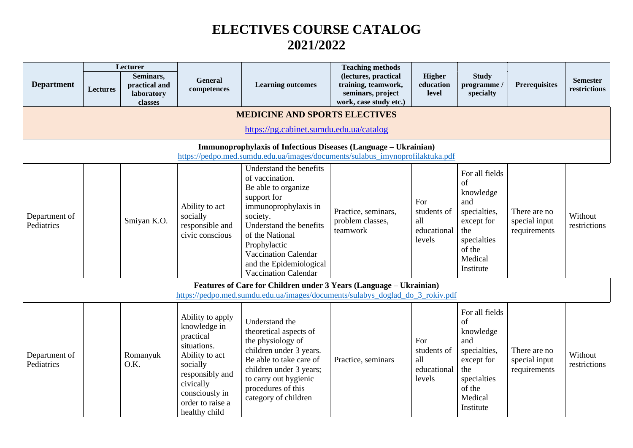## **ELECTIVES COURSE CATALOG 2021/2022**

| <b>Department</b>                                                                                                                                | Lectures                                                                                                                                            | Lecturer<br>Seminars,<br>practical and<br>laboratory<br>classes | General<br>competences                                                                                                                                                            | <b>Learning outcomes</b>                                                                                                                                                                                                                                             | <b>Teaching methods</b><br>(lectures, practical<br>training, teamwork,<br>seminars, project<br>work, case study etc.) | Higher<br>education<br>level                       | <b>Study</b><br>programme<br>specialty                                                                                         | <b>Prerequisites</b>                          | <b>Semester</b><br>restrictions |  |  |  |
|--------------------------------------------------------------------------------------------------------------------------------------------------|-----------------------------------------------------------------------------------------------------------------------------------------------------|-----------------------------------------------------------------|-----------------------------------------------------------------------------------------------------------------------------------------------------------------------------------|----------------------------------------------------------------------------------------------------------------------------------------------------------------------------------------------------------------------------------------------------------------------|-----------------------------------------------------------------------------------------------------------------------|----------------------------------------------------|--------------------------------------------------------------------------------------------------------------------------------|-----------------------------------------------|---------------------------------|--|--|--|
| <b>MEDICINE AND SPORTS ELECTIVES</b><br>https://pg.cabinet.sumdu.edu.ua/catalog                                                                  |                                                                                                                                                     |                                                                 |                                                                                                                                                                                   |                                                                                                                                                                                                                                                                      |                                                                                                                       |                                                    |                                                                                                                                |                                               |                                 |  |  |  |
| Immunoprophylaxis of Infectious Diseases (Language - Ukrainian)<br>https://pedpo.med.sumdu.edu.ua/images/documents/sulabus_imynoprofilaktuka.pdf |                                                                                                                                                     |                                                                 |                                                                                                                                                                                   |                                                                                                                                                                                                                                                                      |                                                                                                                       |                                                    |                                                                                                                                |                                               |                                 |  |  |  |
| Department of<br>Pediatrics                                                                                                                      |                                                                                                                                                     | Smiyan K.O.                                                     | Ability to act<br>socially<br>responsible and<br>civic conscious                                                                                                                  | Understand the benefits<br>of vaccination.<br>Be able to organize<br>support for<br>immunoprophylaxis in<br>society.<br>Understand the benefits<br>of the National<br>Prophylactic<br>Vaccination Calendar<br>and the Epidemiological<br><b>Vaccination Calendar</b> | Practice, seminars,<br>problem classes,<br>teamwork                                                                   | For<br>students of<br>all<br>educational<br>levels | For all fields<br>of<br>knowledge<br>and<br>specialties,<br>except for<br>the<br>specialties<br>of the<br>Medical<br>Institute | There are no<br>special input<br>requirements | Without<br>restrictions         |  |  |  |
|                                                                                                                                                  | Features of Care for Children under 3 Years (Language - Ukrainian)<br>https://pedpo.med.sumdu.edu.ua/images/documents/sulabys doglad do 3 rokiv.pdf |                                                                 |                                                                                                                                                                                   |                                                                                                                                                                                                                                                                      |                                                                                                                       |                                                    |                                                                                                                                |                                               |                                 |  |  |  |
| Department of<br>Pediatrics                                                                                                                      |                                                                                                                                                     | Romanyuk<br>O.K.                                                | Ability to apply<br>knowledge in<br>practical<br>situations.<br>Ability to act<br>socially<br>responsibly and<br>civically<br>consciously in<br>order to raise a<br>healthy child | Understand the<br>theoretical aspects of<br>the physiology of<br>children under 3 years.<br>Be able to take care of<br>children under 3 years;<br>to carry out hygienic<br>procedures of this<br>category of children                                                | Practice, seminars                                                                                                    | For<br>students of<br>all<br>educational<br>levels | For all fields<br>of<br>knowledge<br>and<br>specialties,<br>except for<br>the<br>specialties<br>of the<br>Medical<br>Institute | There are no<br>special input<br>requirements | Without<br>restrictions         |  |  |  |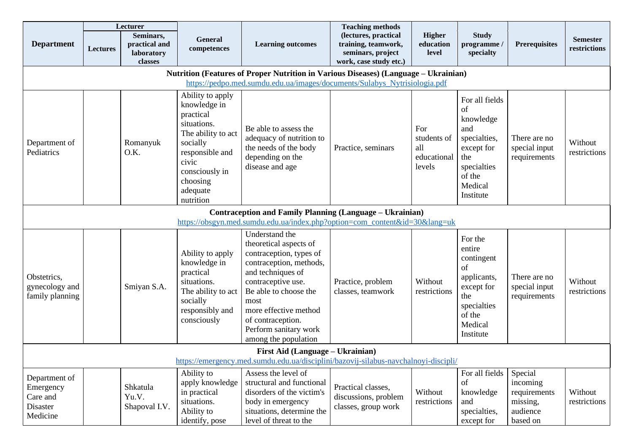|                                                                                                                                                                  | Lecturer        |                                                     |                                                                                                                                  | <b>Teaching methods</b>                                                                                                                                                                                                                                                   |                                                                                            |                                                    |                                                                                                                            |                                                                         |                                 |  |  |
|------------------------------------------------------------------------------------------------------------------------------------------------------------------|-----------------|-----------------------------------------------------|----------------------------------------------------------------------------------------------------------------------------------|---------------------------------------------------------------------------------------------------------------------------------------------------------------------------------------------------------------------------------------------------------------------------|--------------------------------------------------------------------------------------------|----------------------------------------------------|----------------------------------------------------------------------------------------------------------------------------|-------------------------------------------------------------------------|---------------------------------|--|--|
| <b>Department</b>                                                                                                                                                | <b>Lectures</b> | Seminars,<br>practical and<br>laboratory<br>classes | General<br>competences                                                                                                           | <b>Learning outcomes</b>                                                                                                                                                                                                                                                  | (lectures, practical<br>training, teamwork,<br>seminars, project<br>work, case study etc.) | <b>Higher</b><br>education<br>level                | <b>Study</b><br>programme/<br>specialty                                                                                    | <b>Prerequisites</b>                                                    | <b>Semester</b><br>restrictions |  |  |
| Nutrition (Features of Proper Nutrition in Various Diseases) (Language - Ukrainian)<br>https://pedpo.med.sumdu.edu.ua/images/documents/Sulabys_Nytrisiologia.pdf |                 |                                                     |                                                                                                                                  |                                                                                                                                                                                                                                                                           |                                                                                            |                                                    |                                                                                                                            |                                                                         |                                 |  |  |
| Department of<br>Pediatrics                                                                                                                                      |                 | Romanyuk<br>O.K.                                    | Ability to apply<br>knowledge in<br>practical<br>situations.<br>The ability to act<br>socially<br>responsible and<br>civic       | Be able to assess the<br>adequacy of nutrition to<br>the needs of the body<br>depending on the<br>disease and age                                                                                                                                                         | Practice, seminars                                                                         | For<br>students of<br>all<br>educational<br>levels | For all fields<br>of<br>knowledge<br>and<br>specialties,<br>except for<br>the<br>specialties                               | There are no<br>special input<br>requirements                           | Without<br>restrictions         |  |  |
|                                                                                                                                                                  |                 |                                                     | consciously in<br>choosing<br>adequate<br>nutrition                                                                              |                                                                                                                                                                                                                                                                           |                                                                                            |                                                    | of the<br>Medical<br>Institute                                                                                             |                                                                         |                                 |  |  |
|                                                                                                                                                                  |                 |                                                     |                                                                                                                                  | <b>Contraception and Family Planning (Language – Ukrainian)</b><br>https://obsgyn.med.sumdu.edu.ua/index.php?option=com_content&id=30⟨=uk                                                                                                                                 |                                                                                            |                                                    |                                                                                                                            |                                                                         |                                 |  |  |
| Obstetrics,<br>gynecology and<br>family planning                                                                                                                 |                 | Smiyan S.A.                                         | Ability to apply<br>knowledge in<br>practical<br>situations.<br>The ability to act<br>socially<br>responsibly and<br>consciously | Understand the<br>theoretical aspects of<br>contraception, types of<br>contraception, methods,<br>and techniques of<br>contraceptive use.<br>Be able to choose the<br>most<br>more effective method<br>of contraception.<br>Perform sanitary work<br>among the population | Practice, problem<br>classes, teamwork                                                     | Without<br>restrictions                            | For the<br>entire<br>contingent<br>of<br>applicants,<br>except for<br>the<br>specialties<br>of the<br>Medical<br>Institute | There are no<br>special input<br>requirements                           | Without<br>restrictions         |  |  |
| First Aid (Language - Ukrainian)<br>https://emergency.med.sumdu.edu.ua/disciplini/bazovij-silabus-navchalnoyi-discipli/                                          |                 |                                                     |                                                                                                                                  |                                                                                                                                                                                                                                                                           |                                                                                            |                                                    |                                                                                                                            |                                                                         |                                 |  |  |
| Department of<br>Emergency<br>Care and<br>Disaster<br>Medicine                                                                                                   |                 | Shkatula<br>Yu.V.<br>Shapoval I.V.                  | Ability to<br>apply knowledge<br>in practical<br>situations.<br>Ability to<br>identify, pose                                     | Assess the level of<br>structural and functional<br>disorders of the victim's<br>body in emergency<br>situations, determine the<br>level of threat to the                                                                                                                 | Practical classes,<br>discussions, problem<br>classes, group work                          | Without<br>restrictions                            | For all fields<br>of<br>knowledge<br>and<br>specialties,<br>except for                                                     | Special<br>incoming<br>requirements<br>missing,<br>audience<br>based on | Without<br>restrictions         |  |  |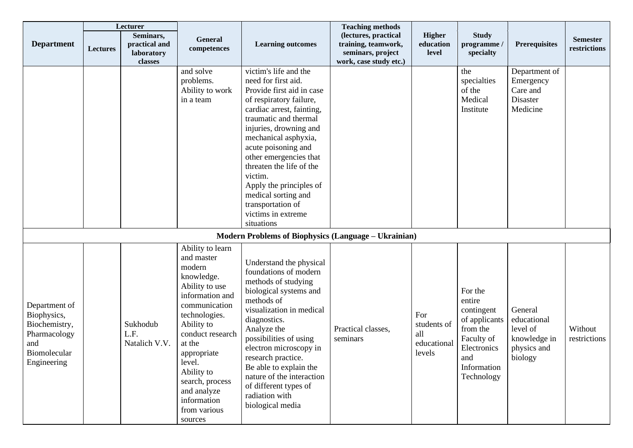|                                                                                                     | Lecturer        |                                                     |                                                                                                                                                                                                                                                                                              |                                                                                                                                                                                                                                                                                                                                                                                                                 | <b>Teaching methods</b>                                                                    |                                                    |                                                                                                                               |                                                                              |                                 |
|-----------------------------------------------------------------------------------------------------|-----------------|-----------------------------------------------------|----------------------------------------------------------------------------------------------------------------------------------------------------------------------------------------------------------------------------------------------------------------------------------------------|-----------------------------------------------------------------------------------------------------------------------------------------------------------------------------------------------------------------------------------------------------------------------------------------------------------------------------------------------------------------------------------------------------------------|--------------------------------------------------------------------------------------------|----------------------------------------------------|-------------------------------------------------------------------------------------------------------------------------------|------------------------------------------------------------------------------|---------------------------------|
| <b>Department</b>                                                                                   | <b>Lectures</b> | Seminars,<br>practical and<br>laboratory<br>classes | General<br>competences                                                                                                                                                                                                                                                                       | <b>Learning outcomes</b>                                                                                                                                                                                                                                                                                                                                                                                        | (lectures, practical<br>training, teamwork,<br>seminars, project<br>work, case study etc.) | <b>Higher</b><br>education<br>level                | <b>Study</b><br>programme /<br>specialty                                                                                      | <b>Prerequisites</b>                                                         | <b>Semester</b><br>restrictions |
|                                                                                                     |                 |                                                     | and solve<br>problems.<br>Ability to work<br>in a team                                                                                                                                                                                                                                       | victim's life and the<br>need for first aid.<br>Provide first aid in case<br>of respiratory failure,<br>cardiac arrest, fainting,<br>traumatic and thermal<br>injuries, drowning and<br>mechanical asphyxia,<br>acute poisoning and<br>other emergencies that<br>threaten the life of the<br>victim.<br>Apply the principles of<br>medical sorting and<br>transportation of<br>victims in extreme<br>situations |                                                                                            |                                                    | the<br>specialties<br>of the<br>Medical<br>Institute                                                                          | Department of<br>Emergency<br>Care and<br>Disaster<br>Medicine               |                                 |
|                                                                                                     |                 |                                                     |                                                                                                                                                                                                                                                                                              | <b>Modern Problems of Biophysics (Language – Ukrainian)</b>                                                                                                                                                                                                                                                                                                                                                     |                                                                                            |                                                    |                                                                                                                               |                                                                              |                                 |
| Department of<br>Biophysics,<br>Biochemistry,<br>Pharmacology<br>and<br>Biomolecular<br>Engineering |                 | Sukhodub<br>L.F.<br>Natalich V.V.                   | Ability to learn<br>and master<br>modern<br>knowledge.<br>Ability to use<br>information and<br>communication<br>technologies.<br>Ability to<br>conduct research<br>at the<br>appropriate<br>level.<br>Ability to<br>search, process<br>and analyze<br>information<br>from various<br>sources | Understand the physical<br>foundations of modern<br>methods of studying<br>biological systems and<br>methods of<br>visualization in medical<br>diagnostics.<br>Analyze the<br>possibilities of using<br>electron microscopy in<br>research practice.<br>Be able to explain the<br>nature of the interaction<br>of different types of<br>radiation with<br>biological media                                      | Practical classes,<br>seminars                                                             | For<br>students of<br>all<br>educational<br>levels | For the<br>entire<br>contingent<br>of applicants<br>from the<br>Faculty of<br>Electronics<br>and<br>Information<br>Technology | General<br>educational<br>level of<br>knowledge in<br>physics and<br>biology | Without<br>restrictions         |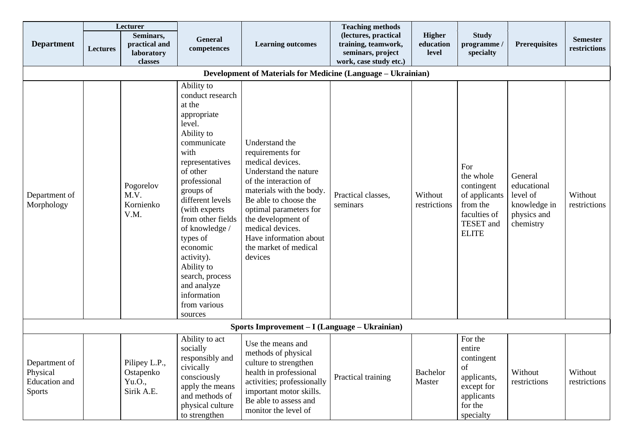|                                                              | Lecturer |                                                     |                                                                                                                                                                                                                                                                                                                                                                                 |                                                                                                                                                                                                                                                                                                 | <b>Teaching methods</b>                                                                    |                                     |                                                                                                          |                                                                                |                                 |  |  |
|--------------------------------------------------------------|----------|-----------------------------------------------------|---------------------------------------------------------------------------------------------------------------------------------------------------------------------------------------------------------------------------------------------------------------------------------------------------------------------------------------------------------------------------------|-------------------------------------------------------------------------------------------------------------------------------------------------------------------------------------------------------------------------------------------------------------------------------------------------|--------------------------------------------------------------------------------------------|-------------------------------------|----------------------------------------------------------------------------------------------------------|--------------------------------------------------------------------------------|---------------------------------|--|--|
| <b>Department</b>                                            | Lectures | Seminars,<br>practical and<br>laboratory<br>classes | General<br>competences                                                                                                                                                                                                                                                                                                                                                          | <b>Learning outcomes</b>                                                                                                                                                                                                                                                                        | (lectures, practical<br>training, teamwork,<br>seminars, project<br>work, case study etc.) | <b>Higher</b><br>education<br>level | <b>Study</b><br>programme /<br>specialty                                                                 | <b>Prerequisites</b>                                                           | <b>Semester</b><br>restrictions |  |  |
| Development of Materials for Medicine (Language – Ukrainian) |          |                                                     |                                                                                                                                                                                                                                                                                                                                                                                 |                                                                                                                                                                                                                                                                                                 |                                                                                            |                                     |                                                                                                          |                                                                                |                                 |  |  |
| Department of<br>Morphology                                  |          | Pogorelov<br>M.V.<br>Kornienko<br>V.M.              | Ability to<br>conduct research<br>at the<br>appropriate<br>level.<br>Ability to<br>communicate<br>with<br>representatives<br>of other<br>professional<br>groups of<br>different levels<br>(with experts)<br>from other fields<br>of knowledge /<br>types of<br>economic<br>activity).<br>Ability to<br>search, process<br>and analyze<br>information<br>from various<br>sources | Understand the<br>requirements for<br>medical devices.<br>Understand the nature<br>of the interaction of<br>materials with the body.<br>Be able to choose the<br>optimal parameters for<br>the development of<br>medical devices.<br>Have information about<br>the market of medical<br>devices | Practical classes,<br>seminars                                                             | Without<br>restrictions             | For<br>the whole<br>contingent<br>of applicants<br>from the<br>faculties of<br>TESET and<br><b>ELITE</b> | General<br>educational<br>level of<br>knowledge in<br>physics and<br>chemistry | Without<br>restrictions         |  |  |
|                                                              |          |                                                     |                                                                                                                                                                                                                                                                                                                                                                                 | Sports Improvement – I (Language – Ukrainian)                                                                                                                                                                                                                                                   |                                                                                            |                                     |                                                                                                          |                                                                                |                                 |  |  |
| Department of<br>Physical<br>Education and<br><b>Sports</b>  |          | Pilipey L.P.,<br>Ostapenko<br>Yu.O.,<br>Sirik A.E.  | Ability to act<br>socially<br>responsibly and<br>civically<br>consciously<br>apply the means<br>and methods of<br>physical culture<br>to strengthen                                                                                                                                                                                                                             | Use the means and<br>methods of physical<br>culture to strengthen<br>health in professional<br>activities; professionally<br>important motor skills.<br>Be able to assess and<br>monitor the level of                                                                                           | Practical training                                                                         | <b>Bachelor</b><br>Master           | For the<br>entire<br>contingent<br>of<br>applicants,<br>except for<br>applicants<br>for the<br>specialty | Without<br>restrictions                                                        | Without<br>restrictions         |  |  |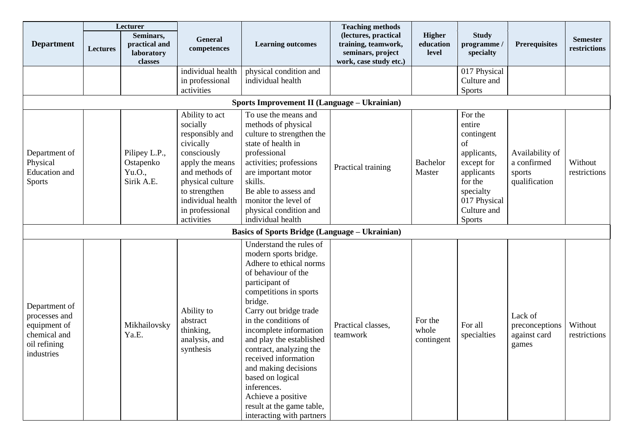|                                                                                              | Lecturer                                            |                                                     |                                                                                                                                                                                                           |                                                                                                                                                                                                                                                                                                                                                                                                                                                                 | <b>Teaching methods</b>                                                                    |                                |                                                                                                                                                          |                                                           |                                 |  |  |  |
|----------------------------------------------------------------------------------------------|-----------------------------------------------------|-----------------------------------------------------|-----------------------------------------------------------------------------------------------------------------------------------------------------------------------------------------------------------|-----------------------------------------------------------------------------------------------------------------------------------------------------------------------------------------------------------------------------------------------------------------------------------------------------------------------------------------------------------------------------------------------------------------------------------------------------------------|--------------------------------------------------------------------------------------------|--------------------------------|----------------------------------------------------------------------------------------------------------------------------------------------------------|-----------------------------------------------------------|---------------------------------|--|--|--|
| <b>Department</b>                                                                            | <b>Lectures</b>                                     | Seminars,<br>practical and<br>laboratory<br>classes | <b>General</b><br>competences                                                                                                                                                                             | <b>Learning outcomes</b>                                                                                                                                                                                                                                                                                                                                                                                                                                        | (lectures, practical<br>training, teamwork,<br>seminars, project<br>work, case study etc.) | Higher<br>education<br>level   | <b>Study</b><br>programme /<br>specialty                                                                                                                 | <b>Prerequisites</b>                                      | <b>Semester</b><br>restrictions |  |  |  |
|                                                                                              |                                                     |                                                     | individual health<br>in professional<br>activities                                                                                                                                                        | physical condition and<br>individual health                                                                                                                                                                                                                                                                                                                                                                                                                     |                                                                                            |                                | 017 Physical<br>Culture and<br><b>Sports</b>                                                                                                             |                                                           |                                 |  |  |  |
|                                                                                              | <b>Sports Improvement II (Language – Ukrainian)</b> |                                                     |                                                                                                                                                                                                           |                                                                                                                                                                                                                                                                                                                                                                                                                                                                 |                                                                                            |                                |                                                                                                                                                          |                                                           |                                 |  |  |  |
| Department of<br>Physical<br><b>Education</b> and<br><b>Sports</b>                           |                                                     | Pilipey L.P.,<br>Ostapenko<br>Yu.O.,<br>Sirik A.E.  | Ability to act<br>socially<br>responsibly and<br>civically<br>consciously<br>apply the means<br>and methods of<br>physical culture<br>to strengthen<br>individual health<br>in professional<br>activities | To use the means and<br>methods of physical<br>culture to strengthen the<br>state of health in<br>professional<br>activities; professions<br>are important motor<br>skills.<br>Be able to assess and<br>monitor the level of<br>physical condition and<br>individual health                                                                                                                                                                                     | Practical training                                                                         | Bachelor<br>Master             | For the<br>entire<br>contingent<br>of<br>applicants,<br>except for<br>applicants<br>for the<br>specialty<br>017 Physical<br>Culture and<br><b>Sports</b> | Availability of<br>a confirmed<br>sports<br>qualification | Without<br>restrictions         |  |  |  |
|                                                                                              |                                                     |                                                     |                                                                                                                                                                                                           | <b>Basics of Sports Bridge (Language – Ukrainian)</b>                                                                                                                                                                                                                                                                                                                                                                                                           |                                                                                            |                                |                                                                                                                                                          |                                                           |                                 |  |  |  |
| Department of<br>processes and<br>equipment of<br>chemical and<br>oil refining<br>industries |                                                     | Mikhailovsky<br>Ya.E.                               | Ability to<br>abstract<br>thinking,<br>analysis, and<br>synthesis                                                                                                                                         | Understand the rules of<br>modern sports bridge.<br>Adhere to ethical norms<br>of behaviour of the<br>participant of<br>competitions in sports<br>bridge.<br>Carry out bridge trade<br>in the conditions of<br>incomplete information<br>and play the established<br>contract, analyzing the<br>received information<br>and making decisions<br>based on logical<br>inferences.<br>Achieve a positive<br>result at the game table,<br>interacting with partners | Practical classes.<br>teamwork                                                             | For the<br>whole<br>contingent | For all<br>specialties                                                                                                                                   | Lack of<br>preconceptions<br>against card<br>games        | Without<br>restrictions         |  |  |  |